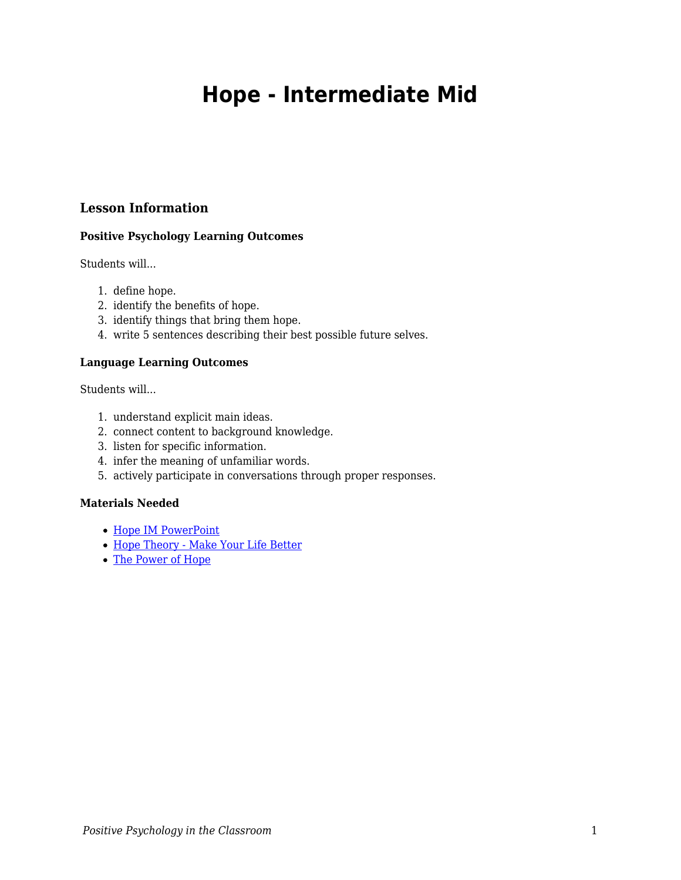# **Hope - Intermediate Mid**

# **Lesson Information**

## **Positive Psychology Learning Outcomes**

Students will...

- 1. define hope.
- 2. identify the benefits of hope.
- 3. identify things that bring them hope.
- 4. write 5 sentences describing their best possible future selves.

#### **Language Learning Outcomes**

Students will...

- 1. understand explicit main ideas.
- 2. connect content to background knowledge.
- 3. listen for specific information.
- 4. infer the meaning of unfamiliar words.
- 5. actively participate in conversations through proper responses.

## **Materials Needed**

- [Hope IM PowerPoint](https://docs.google.com/presentation/d/1FRlZ26sd0Y4KOYX2Wt_f3EqXQrDRDrqk1fDCxD66xYY/edit?usp=sharing)
- [Hope Theory Make Your Life Better](https://youtu.be/ZuHZhi1B4T4)
- [The Power of Hope](https://www.today.com/video/watch-14-year-old-filmmaker-kalia-love-jones-s-animated-short-film-the-power-of-hope-108893765880)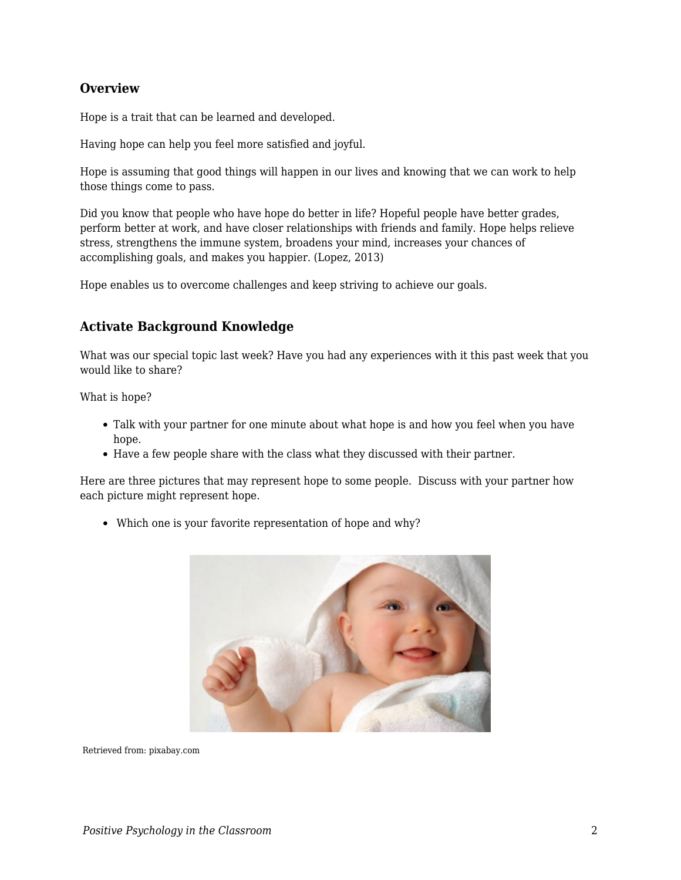# **Overview**

Hope is a trait that can be learned and developed.

Having hope can help you feel more satisfied and joyful.

Hope is assuming that good things will happen in our lives and knowing that we can work to help those things come to pass.

Did you know that people who have hope do better in life? Hopeful people have better grades, perform better at work, and have closer relationships with friends and family. Hope helps relieve stress, strengthens the immune system, broadens your mind, increases your chances of accomplishing goals, and makes you happier. (Lopez, 2013)

Hope enables us to overcome challenges and keep striving to achieve our goals.

# **Activate Background Knowledge**

What was our special topic last week? Have you had any experiences with it this past week that you would like to share?

What is hope?

- Talk with your partner for one minute about what hope is and how you feel when you have hope.
- Have a few people share with the class what they discussed with their partner.

Here are three pictures that may represent hope to some people. Discuss with your partner how each picture might represent hope.

Which one is your favorite representation of hope and why?



Retrieved from: pixabay.com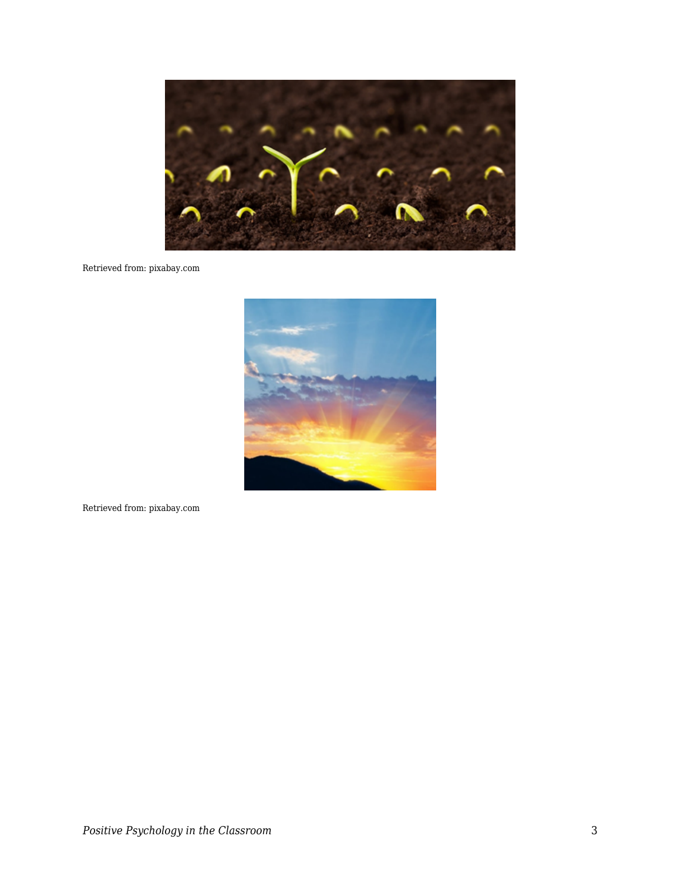

## Retrieved from: pixabay.com



Retrieved from: pixabay.com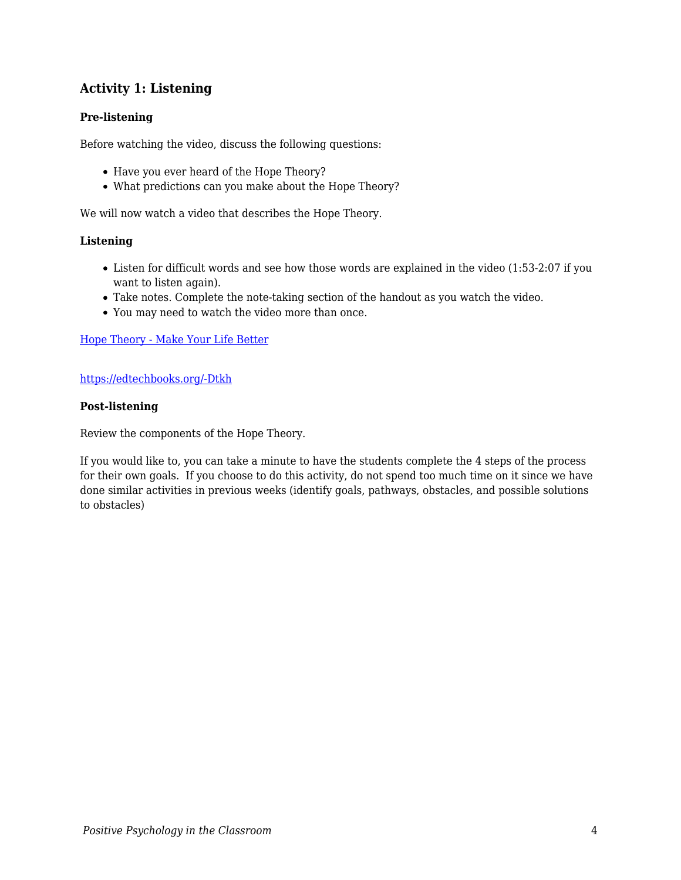# **Activity 1: Listening**

## **Pre-listening**

Before watching the video, discuss the following questions:

- Have you ever heard of the Hope Theory?
- What predictions can you make about the Hope Theory?

We will now watch a video that describes the Hope Theory.

#### **Listening**

- Listen for difficult words and see how those words are explained in the video (1:53-2:07 if you want to listen again).
- Take notes. Complete the note-taking section of the handout as you watch the video.
- You may need to watch the video more than once.

#### [Hope Theory - Make Your Life Better](https://youtu.be/ZuHZhi1B4T4)

#### [https://edtechbooks.org/-Dtkh](https://www.youtube.com/watch?v=ZuHZhi1B4T4)

#### **Post-listening**

Review the components of the Hope Theory.

If you would like to, you can take a minute to have the students complete the 4 steps of the process for their own goals. If you choose to do this activity, do not spend too much time on it since we have done similar activities in previous weeks (identify goals, pathways, obstacles, and possible solutions to obstacles)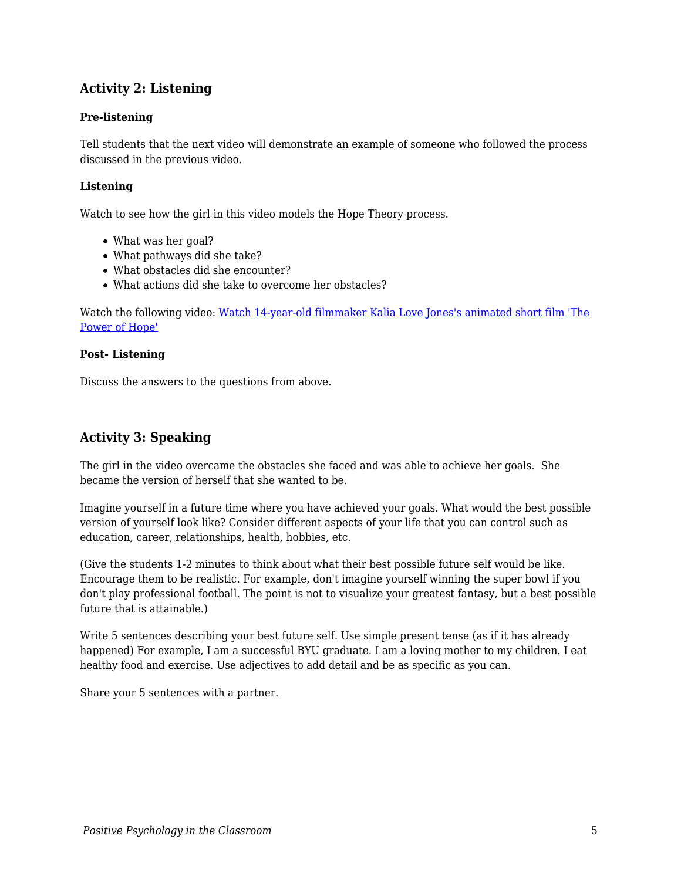# **Activity 2: Listening**

## **Pre-listening**

Tell students that the next video will demonstrate an example of someone who followed the process discussed in the previous video.

## **Listening**

Watch to see how the girl in this video models the Hope Theory process.

- What was her goal?
- What pathways did she take?
- What obstacles did she encounter?
- What actions did she take to overcome her obstacles?

Watch the following video: [Watch 14-year-old filmmaker Kalia Love Jones's animated short film 'The](https://www.today.com/video/watch-14-year-old-filmmaker-kalia-love-jones-s-animated-short-film-the-power-of-hope-108893765880) [Power of Hope'](https://www.today.com/video/watch-14-year-old-filmmaker-kalia-love-jones-s-animated-short-film-the-power-of-hope-108893765880)

## **Post- Listening**

Discuss the answers to the questions from above.

# **Activity 3: Speaking**

The girl in the video overcame the obstacles she faced and was able to achieve her goals. She became the version of herself that she wanted to be.

Imagine yourself in a future time where you have achieved your goals. What would the best possible version of yourself look like? Consider different aspects of your life that you can control such as education, career, relationships, health, hobbies, etc.

(Give the students 1-2 minutes to think about what their best possible future self would be like. Encourage them to be realistic. For example, don't imagine yourself winning the super bowl if you don't play professional football. The point is not to visualize your greatest fantasy, but a best possible future that is attainable.)

Write 5 sentences describing your best future self. Use simple present tense (as if it has already happened) For example, I am a successful BYU graduate. I am a loving mother to my children. I eat healthy food and exercise. Use adjectives to add detail and be as specific as you can.

Share your 5 sentences with a partner.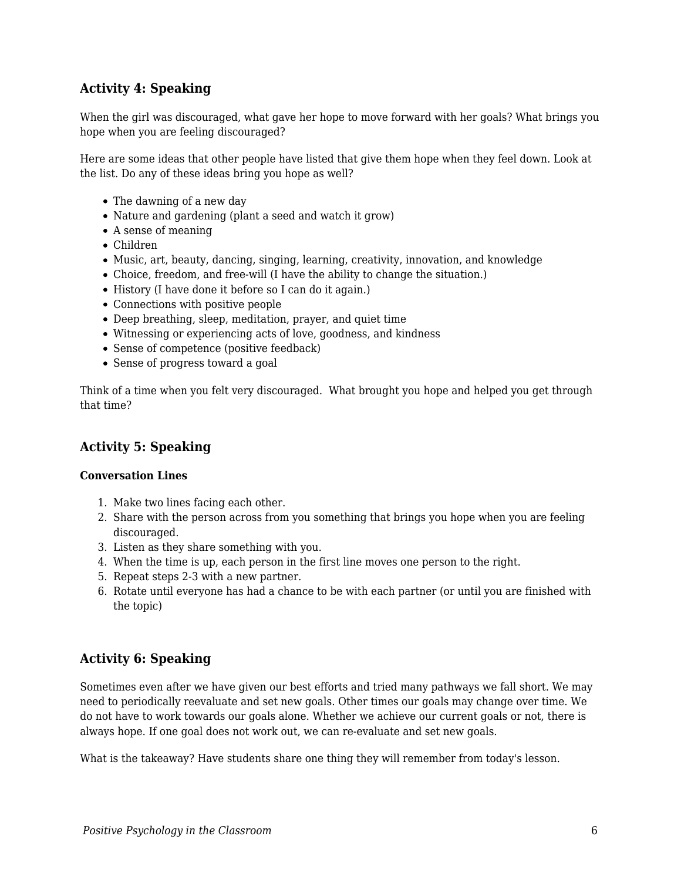# **Activity 4: Speaking**

When the girl was discouraged, what gave her hope to move forward with her goals? What brings you hope when you are feeling discouraged?

Here are some ideas that other people have listed that give them hope when they feel down. Look at the list. Do any of these ideas bring you hope as well?

- The dawning of a new day
- Nature and gardening (plant a seed and watch it grow)
- A sense of meaning
- Children
- Music, art, beauty, dancing, singing, learning, creativity, innovation, and knowledge
- Choice, freedom, and free-will (I have the ability to change the situation.)
- History (I have done it before so I can do it again.)
- Connections with positive people
- Deep breathing, sleep, meditation, prayer, and quiet time
- Witnessing or experiencing acts of love, goodness, and kindness
- Sense of competence (positive feedback)
- Sense of progress toward a goal

Think of a time when you felt very discouraged. What brought you hope and helped you get through that time?

# **Activity 5: Speaking**

## **Conversation Lines**

- 1. Make two lines facing each other.
- 2. Share with the person across from you something that brings you hope when you are feeling discouraged.
- 3. Listen as they share something with you.
- 4. When the time is up, each person in the first line moves one person to the right.
- 5. Repeat steps 2-3 with a new partner.
- 6. Rotate until everyone has had a chance to be with each partner (or until you are finished with the topic)

# **Activity 6: Speaking**

Sometimes even after we have given our best efforts and tried many pathways we fall short. We may need to periodically reevaluate and set new goals. Other times our goals may change over time. We do not have to work towards our goals alone. Whether we achieve our current goals or not, there is always hope. If one goal does not work out, we can re-evaluate and set new goals.

What is the takeaway? Have students share one thing they will remember from today's lesson.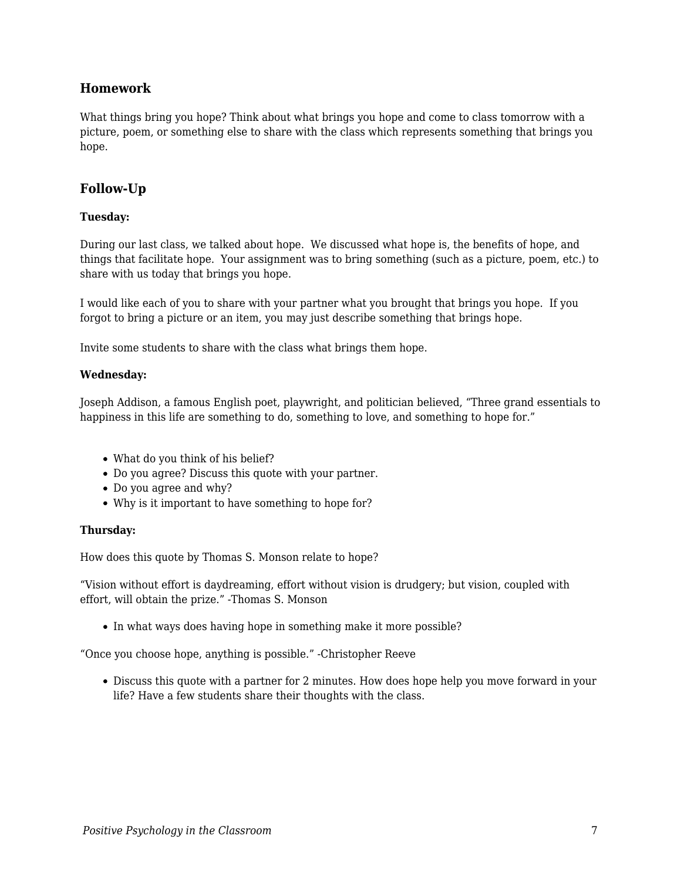# **Homework**

What things bring you hope? Think about what brings you hope and come to class tomorrow with a picture, poem, or something else to share with the class which represents something that brings you hope.

# **Follow-Up**

## **Tuesday:**

During our last class, we talked about hope. We discussed what hope is, the benefits of hope, and things that facilitate hope. Your assignment was to bring something (such as a picture, poem, etc.) to share with us today that brings you hope.

I would like each of you to share with your partner what you brought that brings you hope. If you forgot to bring a picture or an item, you may just describe something that brings hope.

Invite some students to share with the class what brings them hope.

## **Wednesday:**

Joseph Addison, a famous English poet, playwright, and politician believed, "Three grand essentials to happiness in this life are something to do, something to love, and something to hope for."

- What do you think of his belief?
- Do you agree? Discuss this quote with your partner.
- Do you agree and why?
- Why is it important to have something to hope for?

## **Thursday:**

How does this quote by Thomas S. Monson relate to hope?

"Vision without effort is daydreaming, effort without vision is drudgery; but vision, coupled with effort, will obtain the prize." -Thomas S. Monson

• In what ways does having hope in something make it more possible?

"Once you choose hope, anything is possible." -Christopher Reeve

Discuss this quote with a partner for 2 minutes. How does hope help you move forward in your life? Have a few students share their thoughts with the class.